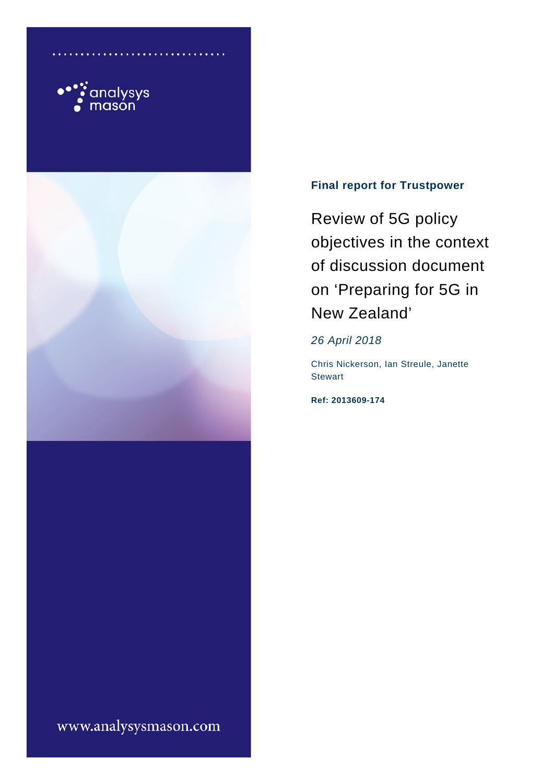



# **Final report for Trustpower**

Review of 5G policy objectives in the context of discussion document on 'Preparing for 5G in New Zealand'

*26 April 2018*

Chris Nickerson, Ian Streule, Janette **Stewart** 

**Ref: 2013609-174**

www.analysysmason.com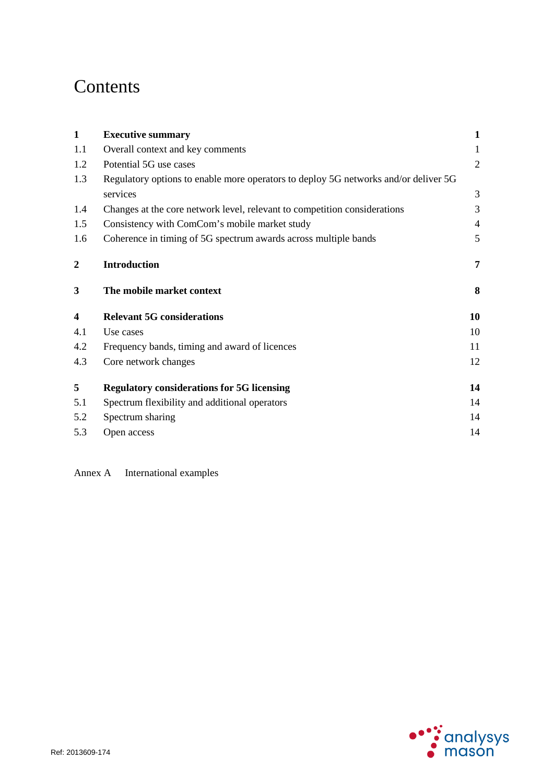# Contents

| $\mathbf{1}$            | <b>Executive summary</b>                                                            | $\mathbf{1}$   |
|-------------------------|-------------------------------------------------------------------------------------|----------------|
| 1.1                     | Overall context and key comments                                                    | 1              |
| 1.2                     | Potential 5G use cases                                                              | $\overline{2}$ |
| 1.3                     | Regulatory options to enable more operators to deploy 5G networks and/or deliver 5G |                |
|                         | services                                                                            | 3              |
| 1.4                     | Changes at the core network level, relevant to competition considerations           | 3              |
| 1.5                     | Consistency with ComCom's mobile market study                                       | $\overline{4}$ |
| 1.6                     | Coherence in timing of 5G spectrum awards across multiple bands                     | 5              |
| $\boldsymbol{2}$        | <b>Introduction</b>                                                                 | $\overline{7}$ |
| 3                       | The mobile market context                                                           | 8              |
| $\overline{\mathbf{4}}$ | <b>Relevant 5G considerations</b>                                                   | 10             |
| 4.1                     | Use cases                                                                           | 10             |
| 4.2                     | Frequency bands, timing and award of licences                                       | 11             |
| 4.3                     | Core network changes                                                                | 12             |
| 5                       | <b>Regulatory considerations for 5G licensing</b>                                   | 14             |
| 5.1                     | Spectrum flexibility and additional operators                                       | 14             |
| 5.2                     | Spectrum sharing                                                                    | 14             |
| 5.3                     | Open access                                                                         | 14             |
|                         |                                                                                     |                |

Annex A International examples

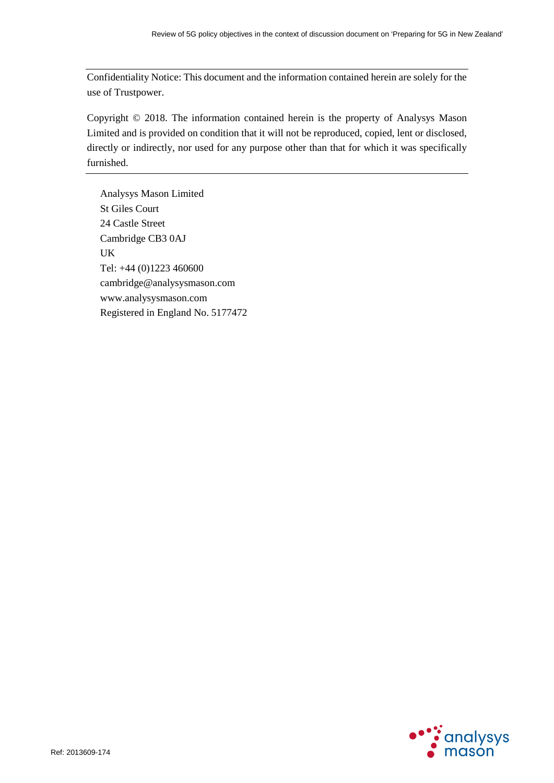Confidentiality Notice: This document and the information contained herein are solely for the use of Trustpower.

Copyright © 2018. The information contained herein is the property of Analysys Mason Limited and is provided on condition that it will not be reproduced, copied, lent or disclosed, directly or indirectly, nor used for any purpose other than that for which it was specifically furnished.

Analysys Mason Limited St Giles Court 24 Castle Street Cambridge CB3 0AJ UK Tel: +44 (0)1223 460600 cambridge@analysysmason.com www.analysysmason.com Registered in England No. 5177472

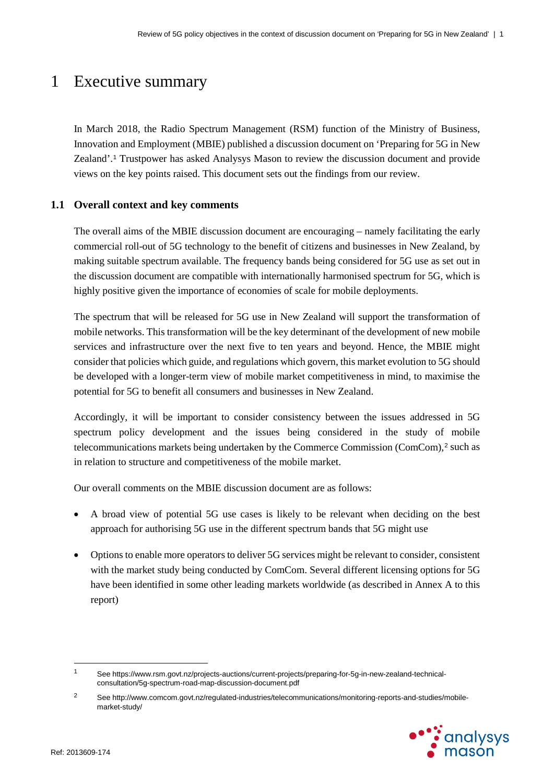# 1 Executive summary

In March 2018, the Radio Spectrum Management (RSM) function of the Ministry of Business, Innovation and Employment (MBIE) published a discussion document on 'Preparing for 5G in New Zealand'.[1](#page-3-0) Trustpower has asked Analysys Mason to review the discussion document and provide views on the key points raised. This document sets out the findings from our review.

### **1.1 Overall context and key comments**

The overall aims of the MBIE discussion document are encouraging – namely facilitating the early commercial roll-out of 5G technology to the benefit of citizens and businesses in New Zealand, by making suitable spectrum available. The frequency bands being considered for 5G use as set out in the discussion document are compatible with internationally harmonised spectrum for 5G, which is highly positive given the importance of economies of scale for mobile deployments.

The spectrum that will be released for 5G use in New Zealand will support the transformation of mobile networks. This transformation will be the key determinant of the development of new mobile services and infrastructure over the next five to ten years and beyond. Hence, the MBIE might consider that policies which guide, and regulations which govern, this market evolution to 5G should be developed with a longer-term view of mobile market competitiveness in mind, to maximise the potential for 5G to benefit all consumers and businesses in New Zealand.

Accordingly, it will be important to consider consistency between the issues addressed in 5G spectrum policy development and the issues being considered in the study of mobile telecommunications markets being undertaken by the Commerce Commission (ComCom), $^2$  $^2$  such as in relation to structure and competitiveness of the mobile market.

Our overall comments on the MBIE discussion document are as follows:

- A broad view of potential 5G use cases is likely to be relevant when deciding on the best approach for authorising 5G use in the different spectrum bands that 5G might use
- Options to enable more operators to deliver 5G services might be relevant to consider, consistent with the market study being conducted by ComCom. Several different licensing options for 5G have been identified in some other leading markets worldwide (as described in Annex A to this report)

<span id="page-3-1"></span><sup>2</sup> See [http://www.comcom.govt.nz/regulated-industries/telecommunications/monitoring-reports-and-studies/mobile](http://www.comcom.govt.nz/regulated-industries/telecommunications/monitoring-reports-and-studies/mobile-market-study/)[market-study/](http://www.comcom.govt.nz/regulated-industries/telecommunications/monitoring-reports-and-studies/mobile-market-study/)



<span id="page-3-0"></span> $\overline{1}$ <sup>1</sup> See https://www.rsm.govt.nz/projects-auctions/current-projects/preparing-for-5g-in-new-zealand-technicalconsultation/5g-spectrum-road-map-discussion-document.pdf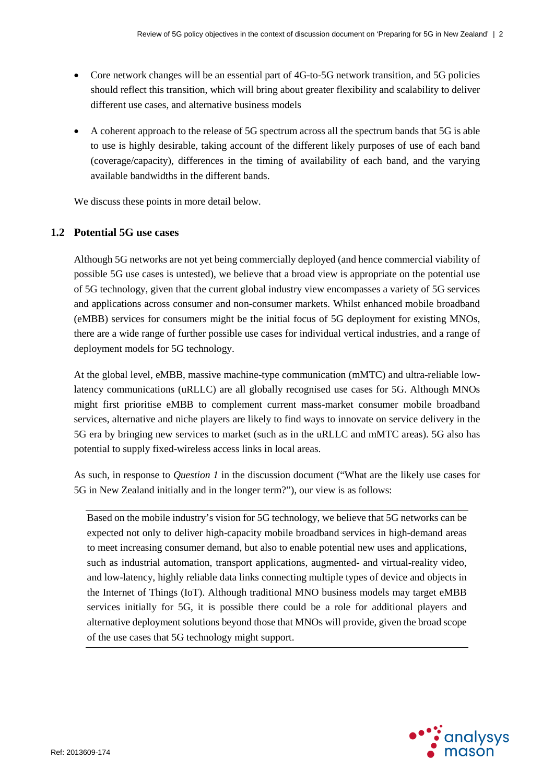- Core network changes will be an essential part of 4G-to-5G network transition, and 5G policies should reflect this transition, which will bring about greater flexibility and scalability to deliver different use cases, and alternative business models
- A coherent approach to the release of 5G spectrum across all the spectrum bands that 5G is able to use is highly desirable, taking account of the different likely purposes of use of each band (coverage/capacity), differences in the timing of availability of each band, and the varying available bandwidths in the different bands.

We discuss these points in more detail below.

### **1.2 Potential 5G use cases**

Although 5G networks are not yet being commercially deployed (and hence commercial viability of possible 5G use cases is untested), we believe that a broad view is appropriate on the potential use of 5G technology, given that the current global industry view encompasses a variety of 5G services and applications across consumer and non-consumer markets. Whilst enhanced mobile broadband (eMBB) services for consumers might be the initial focus of 5G deployment for existing MNOs, there are a wide range of further possible use cases for individual vertical industries, and a range of deployment models for 5G technology.

At the global level, eMBB, massive machine-type communication (mMTC) and ultra-reliable lowlatency communications (uRLLC) are all globally recognised use cases for 5G. Although MNOs might first prioritise eMBB to complement current mass-market consumer mobile broadband services, alternative and niche players are likely to find ways to innovate on service delivery in the 5G era by bringing new services to market (such as in the uRLLC and mMTC areas). 5G also has potential to supply fixed-wireless access links in local areas.

As such, in response to *Question 1* in the discussion document ("What are the likely use cases for 5G in New Zealand initially and in the longer term?"), our view is as follows:

Based on the mobile industry's vision for 5G technology, we believe that 5G networks can be expected not only to deliver high-capacity mobile broadband services in high-demand areas to meet increasing consumer demand, but also to enable potential new uses and applications, such as industrial automation, transport applications, augmented- and virtual-reality video, and low-latency, highly reliable data links connecting multiple types of device and objects in the Internet of Things (IoT). Although traditional MNO business models may target eMBB services initially for 5G, it is possible there could be a role for additional players and alternative deployment solutions beyond those that MNOs will provide, given the broad scope of the use cases that 5G technology might support.

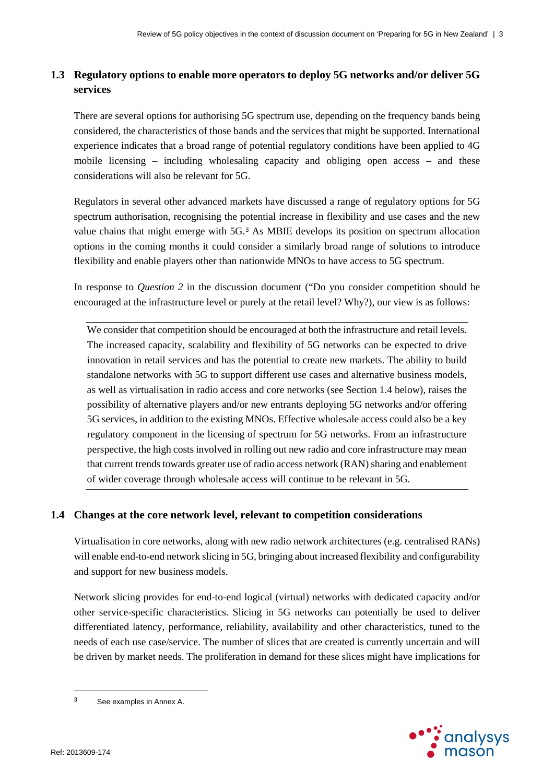# **1.3 Regulatory options to enable more operators to deploy 5G networks and/or deliver 5G services**

There are several options for authorising 5G spectrum use, depending on the frequency bands being considered, the characteristics of those bands and the services that might be supported. International experience indicates that a broad range of potential regulatory conditions have been applied to 4G mobile licensing – including wholesaling capacity and obliging open access – and these considerations will also be relevant for 5G.

Regulators in several other advanced markets have discussed a range of regulatory options for 5G spectrum authorisation, recognising the potential increase in flexibility and use cases and the new value chains that might emerge with 5G.[3](#page-5-1) As MBIE develops its position on spectrum allocation options in the coming months it could consider a similarly broad range of solutions to introduce flexibility and enable players other than nationwide MNOs to have access to 5G spectrum.

In response to *Question 2* in the discussion document ("Do you consider competition should be encouraged at the infrastructure level or purely at the retail level? Why?), our view is as follows:

We consider that competition should be encouraged at both the infrastructure and retail levels. The increased capacity, scalability and flexibility of 5G networks can be expected to drive innovation in retail services and has the potential to create new markets. The ability to build standalone networks with 5G to support different use cases and alternative business models, as well as virtualisation in radio access and core networks (see Section [1.4](#page-5-0) below), raises the possibility of alternative players and/or new entrants deploying 5G networks and/or offering 5G services, in addition to the existing MNOs. Effective wholesale access could also be a key regulatory component in the licensing of spectrum for 5G networks. From an infrastructure perspective, the high costs involved in rolling out new radio and core infrastructure may mean that current trends towards greater use of radio access network (RAN) sharing and enablement of wider coverage through wholesale access will continue to be relevant in 5G.

## <span id="page-5-0"></span>**1.4 Changes at the core network level, relevant to competition considerations**

Virtualisation in core networks, along with new radio network architectures (e.g. centralised RANs) will enable end-to-end network slicing in 5G, bringing about increased flexibility and configurability and support for new business models.

Network slicing provides for end-to-end logical (virtual) networks with dedicated capacity and/or other service-specific characteristics. Slicing in 5G networks can potentially be used to deliver differentiated latency, performance, reliability, availability and other characteristics, tuned to the needs of each use case/service. The number of slices that are created is currently uncertain and will be driven by market needs. The proliferation in demand for these slices might have implications for



<span id="page-5-1"></span> $\overline{3}$ See examples in Annex A.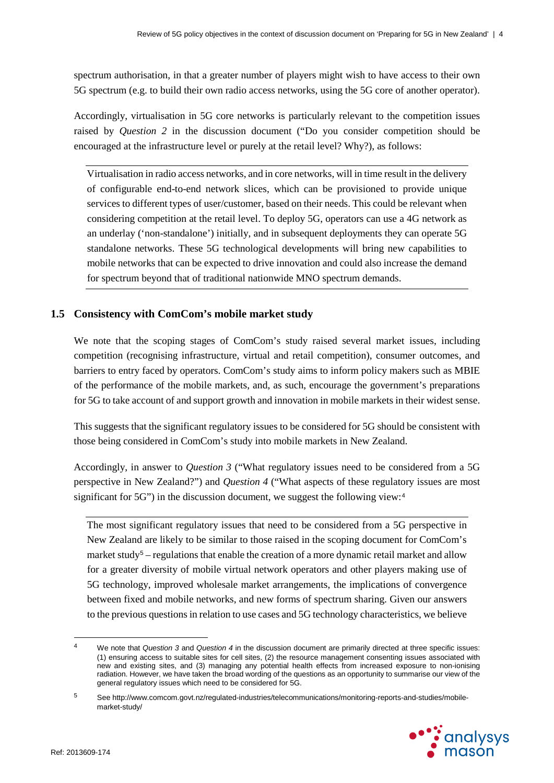spectrum authorisation, in that a greater number of players might wish to have access to their own 5G spectrum (e.g. to build their own radio access networks, using the 5G core of another operator).

Accordingly, virtualisation in 5G core networks is particularly relevant to the competition issues raised by *Question 2* in the discussion document ("Do you consider competition should be encouraged at the infrastructure level or purely at the retail level? Why?), as follows:

Virtualisation in radio access networks, and in core networks, will in time result in the delivery of configurable end-to-end network slices, which can be provisioned to provide unique services to different types of user/customer, based on their needs. This could be relevant when considering competition at the retail level. To deploy 5G, operators can use a 4G network as an underlay ('non-standalone') initially, and in subsequent deployments they can operate 5G standalone networks. These 5G technological developments will bring new capabilities to mobile networks that can be expected to drive innovation and could also increase the demand for spectrum beyond that of traditional nationwide MNO spectrum demands.

### **1.5 Consistency with ComCom's mobile market study**

We note that the scoping stages of ComCom's study raised several market issues, including competition (recognising infrastructure, virtual and retail competition), consumer outcomes, and barriers to entry faced by operators. ComCom's study aims to inform policy makers such as MBIE of the performance of the mobile markets, and, as such, encourage the government's preparations for 5G to take account of and support growth and innovation in mobile markets in their widest sense.

This suggests that the significant regulatory issues to be considered for 5G should be consistent with those being considered in ComCom's study into mobile markets in New Zealand.

Accordingly, in answer to *Question 3* ("What regulatory issues need to be considered from a 5G perspective in New Zealand?") and *Question 4* ("What aspects of these regulatory issues are most significant for 5G") in the discussion document, we suggest the following view:<sup>[4](#page-6-0)</sup>

The most significant regulatory issues that need to be considered from a 5G perspective in New Zealand are likely to be similar to those raised in the scoping document for ComCom's market study<sup>[5](#page-6-1)</sup> – regulations that enable the creation of a more dynamic retail market and allow for a greater diversity of mobile virtual network operators and other players making use of 5G technology, improved wholesale market arrangements, the implications of convergence between fixed and mobile networks, and new forms of spectrum sharing. Given our answers to the previous questions in relation to use cases and 5G technology characteristics, we believe

<span id="page-6-1"></span><sup>5</sup> See http://www.comcom.govt.nz/regulated-industries/telecommunications/monitoring-reports-and-studies/mobilemarket-study/



 $\overline{a}$ 

<span id="page-6-0"></span><sup>4</sup> We note that *Question 3* and *Question 4* in the discussion document are primarily directed at three specific issues: (1) ensuring access to suitable sites for cell sites, (2) the resource management consenting issues associated with new and existing sites, and (3) managing any potential health effects from increased exposure to non-ionising radiation. However, we have taken the broad wording of the questions as an opportunity to summarise our view of the general regulatory issues which need to be considered for 5G.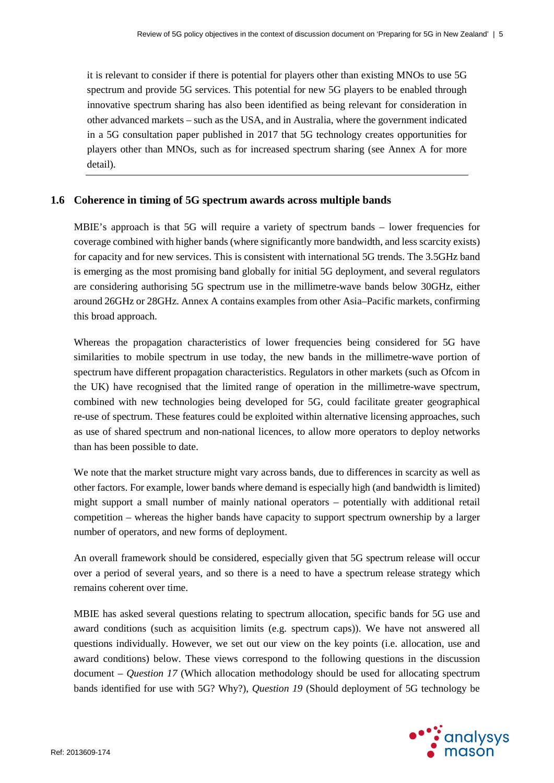it is relevant to consider if there is potential for players other than existing MNOs to use 5G spectrum and provide 5G services. This potential for new 5G players to be enabled through innovative spectrum sharing has also been identified as being relevant for consideration in other advanced markets – such as the USA, and in Australia, where the government indicated in a 5G consultation paper published in 2017 that 5G technology creates opportunities for players other than MNOs, such as for increased spectrum sharing (see [Annex A](#page-18-0) for more detail).

#### **1.6 Coherence in timing of 5G spectrum awards across multiple bands**

MBIE's approach is that 5G will require a variety of spectrum bands – lower frequencies for coverage combined with higher bands (where significantly more bandwidth, and less scarcity exists) for capacity and for new services. This is consistent with international 5G trends. The 3.5GHz band is emerging as the most promising band globally for initial 5G deployment, and several regulators are considering authorising 5G spectrum use in the millimetre-wave bands below 30GHz, either around 26GHz or 28GHz. Annex A contains examples from other Asia–Pacific markets, confirming this broad approach.

Whereas the propagation characteristics of lower frequencies being considered for 5G have similarities to mobile spectrum in use today, the new bands in the millimetre-wave portion of spectrum have different propagation characteristics. Regulators in other markets (such as Ofcom in the UK) have recognised that the limited range of operation in the millimetre-wave spectrum, combined with new technologies being developed for 5G, could facilitate greater geographical re-use of spectrum. These features could be exploited within alternative licensing approaches, such as use of shared spectrum and non-national licences, to allow more operators to deploy networks than has been possible to date.

We note that the market structure might vary across bands, due to differences in scarcity as well as other factors. For example, lower bands where demand is especially high (and bandwidth is limited) might support a small number of mainly national operators – potentially with additional retail competition – whereas the higher bands have capacity to support spectrum ownership by a larger number of operators, and new forms of deployment.

An overall framework should be considered, especially given that 5G spectrum release will occur over a period of several years, and so there is a need to have a spectrum release strategy which remains coherent over time.

MBIE has asked several questions relating to spectrum allocation, specific bands for 5G use and award conditions (such as acquisition limits (e.g. spectrum caps)). We have not answered all questions individually. However, we set out our view on the key points (i.e. allocation, use and award conditions) below. These views correspond to the following questions in the discussion document – *Question 17* (Which allocation methodology should be used for allocating spectrum bands identified for use with 5G? Why?), *Question 19* (Should deployment of 5G technology be

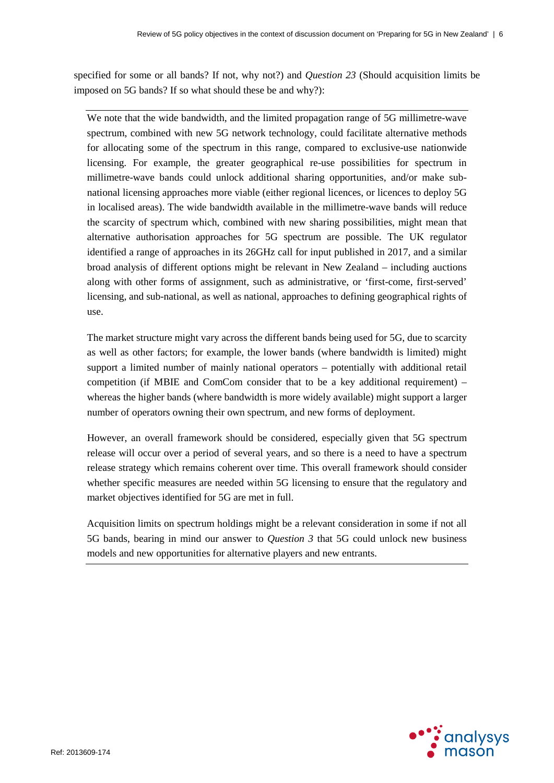specified for some or all bands? If not, why not?) and *Question 23* (Should acquisition limits be imposed on 5G bands? If so what should these be and why?):

We note that the wide bandwidth, and the limited propagation range of 5G millimetre-wave spectrum, combined with new 5G network technology, could facilitate alternative methods for allocating some of the spectrum in this range, compared to exclusive-use nationwide licensing. For example, the greater geographical re-use possibilities for spectrum in millimetre-wave bands could unlock additional sharing opportunities, and/or make subnational licensing approaches more viable (either regional licences, or licences to deploy 5G in localised areas). The wide bandwidth available in the millimetre-wave bands will reduce the scarcity of spectrum which, combined with new sharing possibilities, might mean that alternative authorisation approaches for 5G spectrum are possible. The UK regulator identified a range of approaches in its 26GHz call for input published in 2017, and a similar broad analysis of different options might be relevant in New Zealand – including auctions along with other forms of assignment, such as administrative, or 'first-come, first-served' licensing, and sub-national, as well as national, approaches to defining geographical rights of use.

The market structure might vary across the different bands being used for 5G, due to scarcity as well as other factors; for example, the lower bands (where bandwidth is limited) might support a limited number of mainly national operators – potentially with additional retail competition (if MBIE and ComCom consider that to be a key additional requirement) – whereas the higher bands (where bandwidth is more widely available) might support a larger number of operators owning their own spectrum, and new forms of deployment.

However, an overall framework should be considered, especially given that 5G spectrum release will occur over a period of several years, and so there is a need to have a spectrum release strategy which remains coherent over time. This overall framework should consider whether specific measures are needed within 5G licensing to ensure that the regulatory and market objectives identified for 5G are met in full.

Acquisition limits on spectrum holdings might be a relevant consideration in some if not all 5G bands, bearing in mind our answer to *Question 3* that 5G could unlock new business models and new opportunities for alternative players and new entrants.

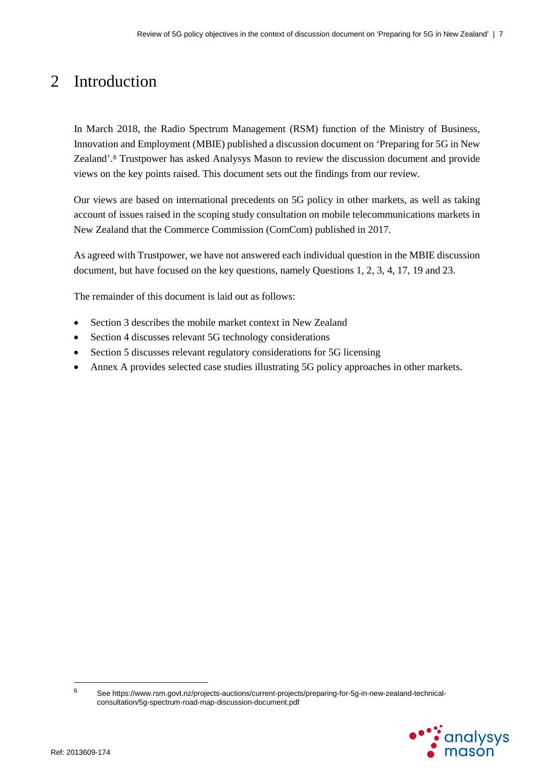# 2 Introduction

In March 2018, the Radio Spectrum Management (RSM) function of the Ministry of Business, Innovation and Employment (MBIE) published a discussion document on 'Preparing for 5G in New Zealand'.[6](#page-9-0) Trustpower has asked Analysys Mason to review the discussion document and provide views on the key points raised. This document sets out the findings from our review.

Our views are based on international precedents on 5G policy in other markets, as well as taking account of issues raised in the scoping study consultation on mobile telecommunications markets in New Zealand that the Commerce Commission (ComCom) published in 2017.

As agreed with Trustpower, we have not answered each individual question in the MBIE discussion document, but have focused on the key questions, namely Questions 1, 2, 3, 4, 17, 19 and 23.

The remainder of this document is laid out as follows:

- Section [3](#page-10-0) describes the mobile market context in New Zealand
- Section [4](#page-12-0) discusses relevant 5G technology considerations
- Section [5](#page-16-0) discusses relevant regulatory considerations for 5G licensing
- [Annex A](#page-18-0) provides selected case studies illustrating 5G policy approaches in other markets.

<span id="page-9-0"></span><sup>6</sup> See https://www.rsm.govt.nz/projects-auctions/current-projects/preparing-for-5g-in-new-zealand-technicalconsultation/5g-spectrum-road-map-discussion-document.pdf



 $\overline{a}$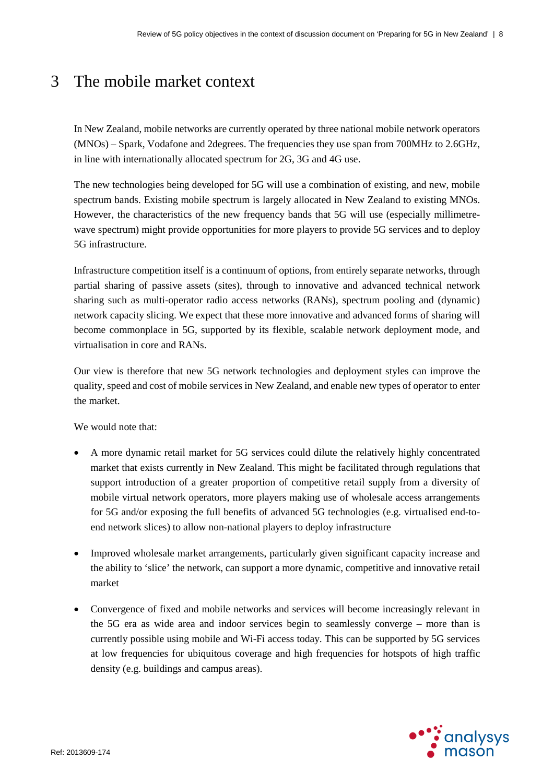# <span id="page-10-0"></span>3 The mobile market context

In New Zealand, mobile networks are currently operated by three national mobile network operators (MNOs) – Spark, Vodafone and 2degrees. The frequencies they use span from 700MHz to 2.6GHz, in line with internationally allocated spectrum for 2G, 3G and 4G use.

The new technologies being developed for 5G will use a combination of existing, and new, mobile spectrum bands. Existing mobile spectrum is largely allocated in New Zealand to existing MNOs. However, the characteristics of the new frequency bands that 5G will use (especially millimetrewave spectrum) might provide opportunities for more players to provide 5G services and to deploy 5G infrastructure.

Infrastructure competition itself is a continuum of options, from entirely separate networks, through partial sharing of passive assets (sites), through to innovative and advanced technical network sharing such as multi-operator radio access networks (RANs), spectrum pooling and (dynamic) network capacity slicing. We expect that these more innovative and advanced forms of sharing will become commonplace in 5G, supported by its flexible, scalable network deployment mode, and virtualisation in core and RANs.

Our view is therefore that new 5G network technologies and deployment styles can improve the quality, speed and cost of mobile services in New Zealand, and enable new types of operator to enter the market.

We would note that:

- A more dynamic retail market for 5G services could dilute the relatively highly concentrated market that exists currently in New Zealand. This might be facilitated through regulations that support introduction of a greater proportion of competitive retail supply from a diversity of mobile virtual network operators, more players making use of wholesale access arrangements for 5G and/or exposing the full benefits of advanced 5G technologies (e.g. virtualised end-toend network slices) to allow non-national players to deploy infrastructure
- Improved wholesale market arrangements, particularly given significant capacity increase and the ability to 'slice' the network, can support a more dynamic, competitive and innovative retail market
- Convergence of fixed and mobile networks and services will become increasingly relevant in the 5G era as wide area and indoor services begin to seamlessly converge – more than is currently possible using mobile and Wi-Fi access today. This can be supported by 5G services at low frequencies for ubiquitous coverage and high frequencies for hotspots of high traffic density (e.g. buildings and campus areas).

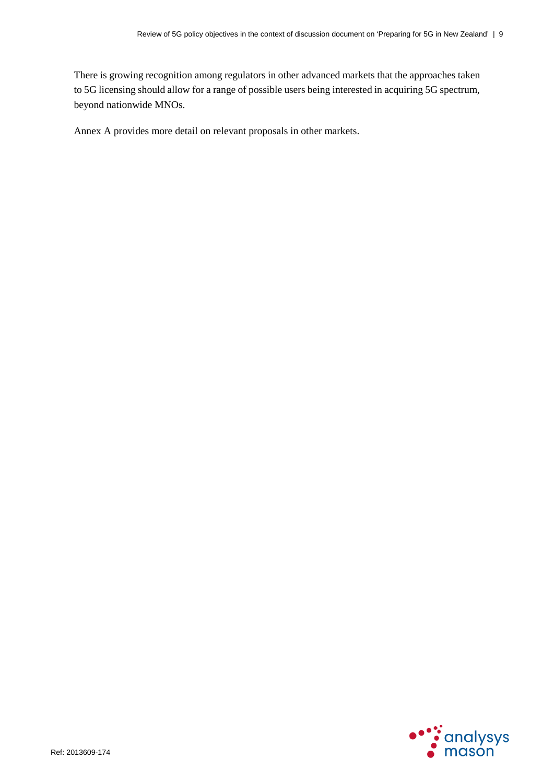There is growing recognition among regulators in other advanced markets that the approaches taken to 5G licensing should allow for a range of possible users being interested in acquiring 5G spectrum, beyond nationwide MNOs.

Annex A provides more detail on relevant proposals in other markets.

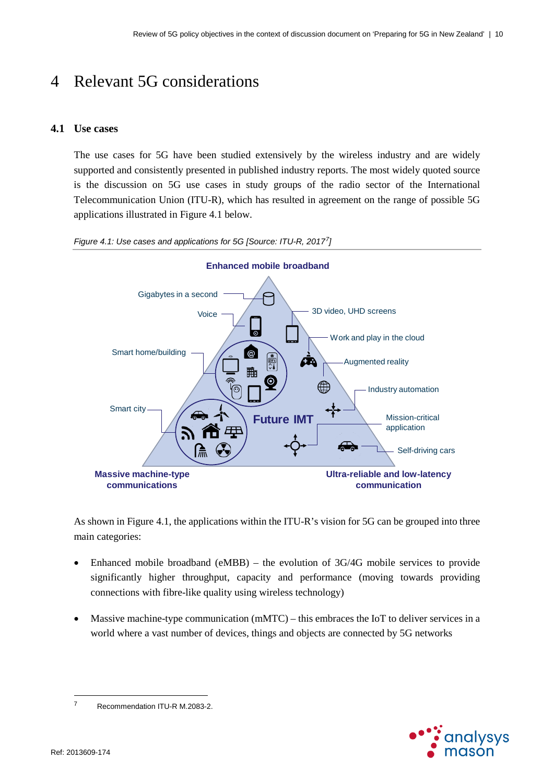# <span id="page-12-0"></span>4 Relevant 5G considerations

### **4.1 Use cases**

The use cases for 5G have been studied extensively by the wireless industry and are widely supported and consistently presented in published industry reports. The most widely quoted source is the discussion on 5G use cases in study groups of the radio sector of the International Telecommunication Union (ITU-R), which has resulted in agreement on the range of possible 5G applications illustrated in [Figure](#page-12-1) 4.1 below.



<span id="page-12-1"></span>*Figure 4.1: Use cases and applications for 5G [Source: ITU-R, 2017[7\]](#page-12-2)*

As shown i[n Figure](#page-12-1) 4.1, the applications within the ITU-R's vision for 5G can be grouped into three main categories:

- Enhanced mobile broadband (eMBB) the evolution of 3G/4G mobile services to provide significantly higher throughput, capacity and performance (moving towards providing connections with fibre-like quality using wireless technology)
- Massive machine-type communication  $(mMTC)$  this embraces the IoT to deliver services in a world where a vast number of devices, things and objects are connected by 5G networks



 $\overline{a}$ 

<span id="page-12-2"></span><sup>7</sup> Recommendation ITU-R M.2083-2.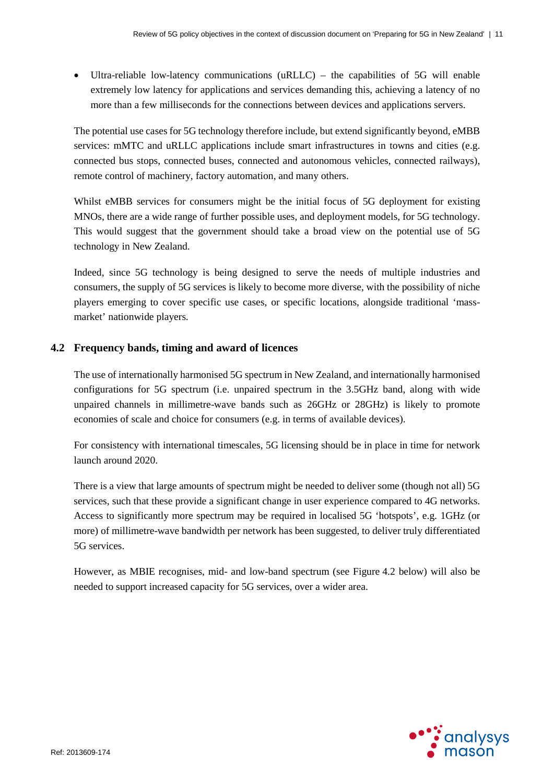• Ultra-reliable low-latency communications (uRLLC) – the capabilities of 5G will enable extremely low latency for applications and services demanding this, achieving a latency of no more than a few milliseconds for the connections between devices and applications servers.

The potential use cases for 5G technology therefore include, but extend significantly beyond, eMBB services: mMTC and uRLLC applications include smart infrastructures in towns and cities (e.g. connected bus stops, connected buses, connected and autonomous vehicles, connected railways), remote control of machinery, factory automation, and many others.

Whilst eMBB services for consumers might be the initial focus of 5G deployment for existing MNOs, there are a wide range of further possible uses, and deployment models, for 5G technology. This would suggest that the government should take a broad view on the potential use of 5G technology in New Zealand.

Indeed, since 5G technology is being designed to serve the needs of multiple industries and consumers, the supply of 5G services is likely to become more diverse, with the possibility of niche players emerging to cover specific use cases, or specific locations, alongside traditional 'massmarket' nationwide players.

#### **4.2 Frequency bands, timing and award of licences**

The use of internationally harmonised 5G spectrum in New Zealand, and internationally harmonised configurations for 5G spectrum (i.e. unpaired spectrum in the 3.5GHz band, along with wide unpaired channels in millimetre-wave bands such as 26GHz or 28GHz) is likely to promote economies of scale and choice for consumers (e.g. in terms of available devices).

For consistency with international timescales, 5G licensing should be in place in time for network launch around 2020.

There is a view that large amounts of spectrum might be needed to deliver some (though not all) 5G services, such that these provide a significant change in user experience compared to 4G networks. Access to significantly more spectrum may be required in localised 5G 'hotspots', e.g. 1GHz (or more) of millimetre-wave bandwidth per network has been suggested, to deliver truly differentiated 5G services.

However, as MBIE recognises, mid- and low-band spectrum (see [Figure](#page-14-0) 4.2 below) will also be needed to support increased capacity for 5G services, over a wider area.

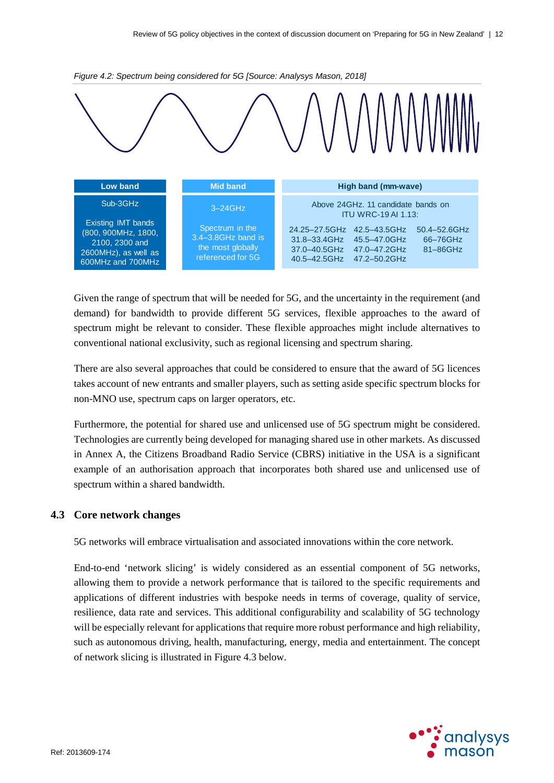

<span id="page-14-0"></span>

Given the range of spectrum that will be needed for 5G, and the uncertainty in the requirement (and demand) for bandwidth to provide different 5G services, flexible approaches to the award of spectrum might be relevant to consider. These flexible approaches might include alternatives to conventional national exclusivity, such as regional licensing and spectrum sharing.

There are also several approaches that could be considered to ensure that the award of 5G licences takes account of new entrants and smaller players, such as setting aside specific spectrum blocks for non-MNO use, spectrum caps on larger operators, etc.

Furthermore, the potential for shared use and unlicensed use of 5G spectrum might be considered. Technologies are currently being developed for managing shared use in other markets. As discussed in Annex A, the Citizens Broadband Radio Service (CBRS) initiative in the USA is a significant example of an authorisation approach that incorporates both shared use and unlicensed use of spectrum within a shared bandwidth.

#### **4.3 Core network changes**

5G networks will embrace virtualisation and associated innovations within the core network.

End-to-end 'network slicing' is widely considered as an essential component of 5G networks, allowing them to provide a network performance that is tailored to the specific requirements and applications of different industries with bespoke needs in terms of coverage, quality of service, resilience, data rate and services. This additional configurability and scalability of 5G technology will be especially relevant for applications that require more robust performance and high reliability, such as autonomous driving, health, manufacturing, energy, media and entertainment. The concept of network slicing is illustrated in [Figure](#page-15-0) 4.3 below.

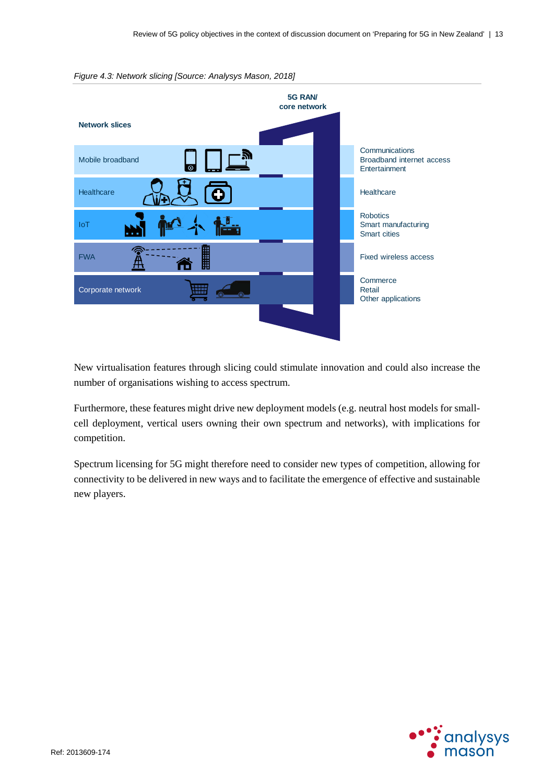

<span id="page-15-0"></span>*Figure 4.3: Network slicing [Source: Analysys Mason, 2018]*

New virtualisation features through slicing could stimulate innovation and could also increase the number of organisations wishing to access spectrum.

Furthermore, these features might drive new deployment models (e.g. neutral host models for smallcell deployment, vertical users owning their own spectrum and networks), with implications for competition.

Spectrum licensing for 5G might therefore need to consider new types of competition, allowing for connectivity to be delivered in new ways and to facilitate the emergence of effective and sustainable new players.

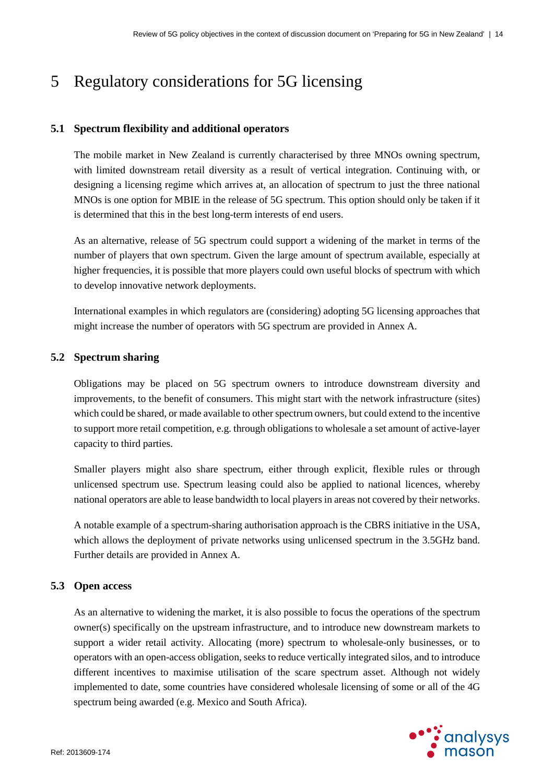# <span id="page-16-0"></span>5 Regulatory considerations for 5G licensing

#### **5.1 Spectrum flexibility and additional operators**

The mobile market in New Zealand is currently characterised by three MNOs owning spectrum, with limited downstream retail diversity as a result of vertical integration. Continuing with, or designing a licensing regime which arrives at, an allocation of spectrum to just the three national MNOs is one option for MBIE in the release of 5G spectrum. This option should only be taken if it is determined that this in the best long-term interests of end users.

As an alternative, release of 5G spectrum could support a widening of the market in terms of the number of players that own spectrum. Given the large amount of spectrum available, especially at higher frequencies, it is possible that more players could own useful blocks of spectrum with which to develop innovative network deployments.

International examples in which regulators are (considering) adopting 5G licensing approaches that might increase the number of operators with 5G spectrum are provided i[n Annex A.](#page-18-0)

#### **5.2 Spectrum sharing**

Obligations may be placed on 5G spectrum owners to introduce downstream diversity and improvements, to the benefit of consumers. This might start with the network infrastructure (sites) which could be shared, or made available to other spectrum owners, but could extend to the incentive to support more retail competition, e.g. through obligations to wholesale a set amount of active-layer capacity to third parties.

Smaller players might also share spectrum, either through explicit, flexible rules or through unlicensed spectrum use. Spectrum leasing could also be applied to national licences, whereby national operators are able to lease bandwidth to local playersin areas not covered by their networks.

A notable example of a spectrum-sharing authorisation approach is the CBRS initiative in the USA, which allows the deployment of private networks using unlicensed spectrum in the 3.5GHz band. Further details are provided in [Annex A.](#page-18-0)

#### **5.3 Open access**

As an alternative to widening the market, it is also possible to focus the operations of the spectrum owner(s) specifically on the upstream infrastructure, and to introduce new downstream markets to support a wider retail activity. Allocating (more) spectrum to wholesale-only businesses, or to operators with an open-access obligation, seeks to reduce vertically integrated silos, and to introduce different incentives to maximise utilisation of the scare spectrum asset. Although not widely implemented to date, some countries have considered wholesale licensing of some or all of the 4G spectrum being awarded (e.g. Mexico and South Africa).

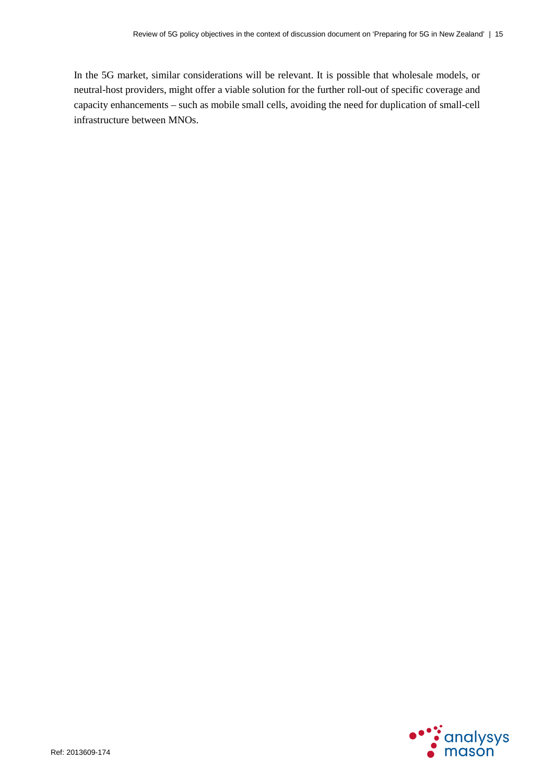In the 5G market, similar considerations will be relevant. It is possible that wholesale models, or neutral-host providers, might offer a viable solution for the further roll-out of specific coverage and capacity enhancements – such as mobile small cells, avoiding the need for duplication of small-cell infrastructure between MNOs.

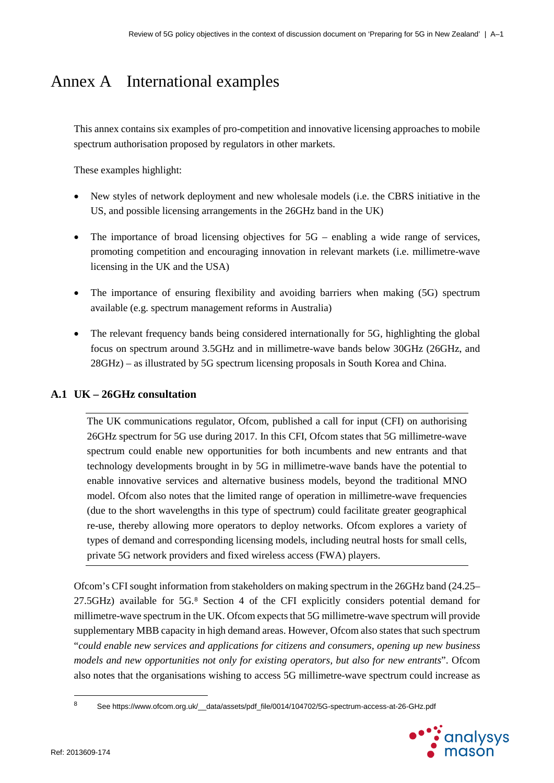# <span id="page-18-0"></span>Annex A International examples

This annex contains six examples of pro-competition and innovative licensing approaches to mobile spectrum authorisation proposed by regulators in other markets.

These examples highlight:

- New styles of network deployment and new wholesale models (i.e. the CBRS initiative in the US, and possible licensing arrangements in the 26GHz band in the UK)
- The importance of broad licensing objectives for  $5G$  enabling a wide range of services, promoting competition and encouraging innovation in relevant markets (i.e. millimetre-wave licensing in the UK and the USA)
- The importance of ensuring flexibility and avoiding barriers when making (5G) spectrum available (e.g. spectrum management reforms in Australia)
- The relevant frequency bands being considered internationally for 5G, highlighting the global focus on spectrum around 3.5GHz and in millimetre-wave bands below 30GHz (26GHz, and 28GHz) – as illustrated by 5G spectrum licensing proposals in South Korea and China.

#### **A.1 UK – 26GHz consultation**

The UK communications regulator, Ofcom, published a call for input (CFI) on authorising 26GHz spectrum for 5G use during 2017. In this CFI, Ofcom states that 5G millimetre-wave spectrum could enable new opportunities for both incumbents and new entrants and that technology developments brought in by 5G in millimetre-wave bands have the potential to enable innovative services and alternative business models, beyond the traditional MNO model. Ofcom also notes that the limited range of operation in millimetre-wave frequencies (due to the short wavelengths in this type of spectrum) could facilitate greater geographical re-use, thereby allowing more operators to deploy networks. Ofcom explores a variety of types of demand and corresponding licensing models, including neutral hosts for small cells, private 5G network providers and fixed wireless access (FWA) players.

Ofcom's CFI sought information from stakeholders on making spectrum in the 26GHz band (24.25– 27.5GHz) available for 5G.[8](#page-18-1) Section 4 of the CFI explicitly considers potential demand for millimetre-wave spectrum in the UK. Ofcom expects that 5G millimetre-wave spectrum will provide supplementary MBB capacity in high demand areas. However, Ofcom also states that such spectrum "*could enable new services and applications for citizens and consumers, opening up new business models and new opportunities not only for existing operators, but also for new entrants*". Ofcom also notes that the organisations wishing to access 5G millimetre-wave spectrum could increase as

<span id="page-18-1"></span><sup>8</sup> See https://www.ofcom.org.uk/\_data/assets/pdf\_file/0014/104702/5G-spectrum-access-at-26-GHz.pdf



 $\overline{a}$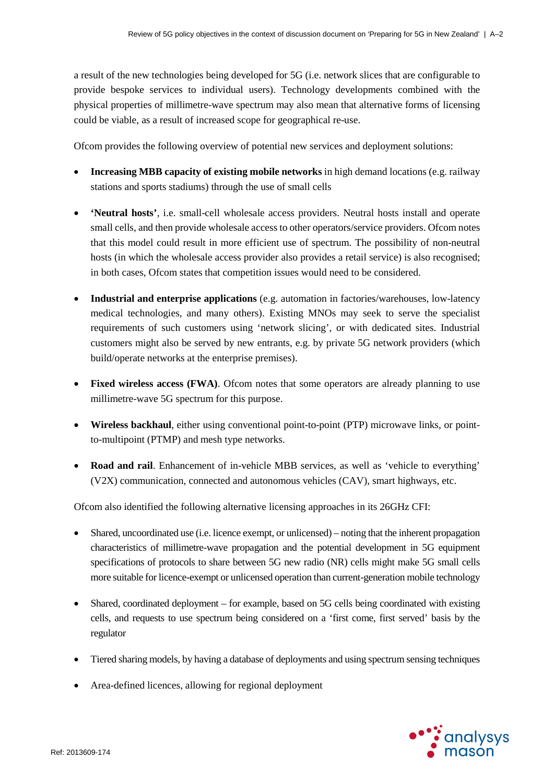a result of the new technologies being developed for 5G (i.e. network slices that are configurable to provide bespoke services to individual users). Technology developments combined with the physical properties of millimetre-wave spectrum may also mean that alternative forms of licensing could be viable, as a result of increased scope for geographical re-use.

Ofcom provides the following overview of potential new services and deployment solutions:

- **Increasing MBB capacity of existing mobile networks** in high demand locations (e.g. railway stations and sports stadiums) through the use of small cells
- **'Neutral hosts'**, i.e. small-cell wholesale access providers. Neutral hosts install and operate small cells, and then provide wholesale access to other operators/service providers. Ofcom notes that this model could result in more efficient use of spectrum. The possibility of non-neutral hosts (in which the wholesale access provider also provides a retail service) is also recognised; in both cases, Ofcom states that competition issues would need to be considered.
- **Industrial and enterprise applications** (e.g. automation in factories/warehouses, low-latency medical technologies, and many others). Existing MNOs may seek to serve the specialist requirements of such customers using 'network slicing', or with dedicated sites. Industrial customers might also be served by new entrants, e.g. by private 5G network providers (which build/operate networks at the enterprise premises).
- **Fixed wireless access (FWA)**. Of com notes that some operators are already planning to use millimetre-wave 5G spectrum for this purpose.
- **Wireless backhaul**, either using conventional point-to-point (PTP) microwave links, or pointto-multipoint (PTMP) and mesh type networks.
- **Road and rail**. Enhancement of in-vehicle MBB services, as well as 'vehicle to everything' (V2X) communication, connected and autonomous vehicles (CAV), smart highways, etc.

Ofcom also identified the following alternative licensing approaches in its 26GHz CFI:

- Shared, uncoordinated use (i.e. licence exempt, or unlicensed) noting that the inherent propagation characteristics of millimetre-wave propagation and the potential development in 5G equipment specifications of protocols to share between 5G new radio (NR) cells might make 5G small cells more suitable for licence-exempt or unlicensed operation than current-generation mobile technology
- Shared, coordinated deployment for example, based on 5G cells being coordinated with existing cells, and requests to use spectrum being considered on a 'first come, first served' basis by the regulator
- Tiered sharing models, by having a database of deployments and using spectrum sensing techniques
- Area-defined licences, allowing for regional deployment

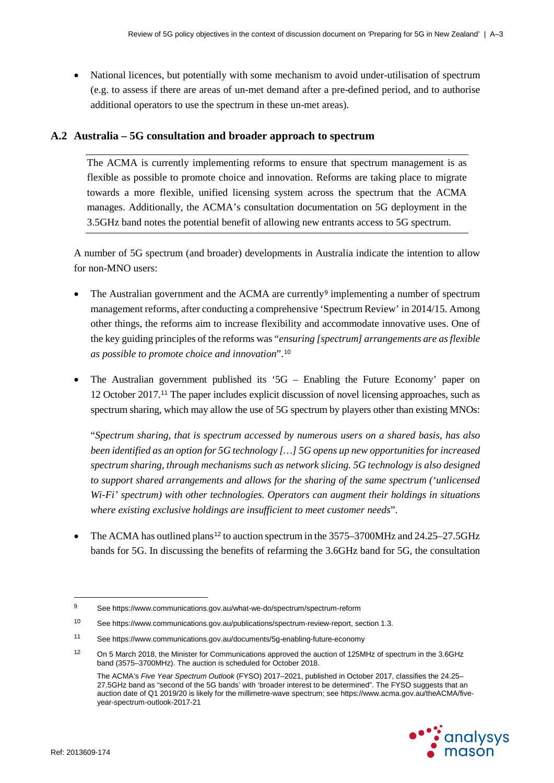• National licences, but potentially with some mechanism to avoid under-utilisation of spectrum (e.g. to assess if there are areas of un-met demand after a pre-defined period, and to authorise additional operators to use the spectrum in these un-met areas).

### **A.2 Australia – 5G consultation and broader approach to spectrum**

The ACMA is currently implementing reforms to ensure that spectrum management is as flexible as possible to promote choice and innovation. Reforms are taking place to migrate towards a more flexible, unified licensing system across the spectrum that the ACMA manages. Additionally, the ACMA's consultation documentation on 5G deployment in the 3.5GHz band notes the potential benefit of allowing new entrants access to 5G spectrum.

A number of 5G spectrum (and broader) developments in Australia indicate the intention to allow for non-MNO users:

- The Australian government and the ACMA are currently<sup>[9](#page-20-0)</sup> implementing a number of spectrum management reforms, after conducting a comprehensive 'Spectrum Review' in 2014/15. Among other things, the reforms aim to increase flexibility and accommodate innovative uses. One of the key guiding principles of the reforms was "*ensuring [spectrum] arrangements are as flexible as possible to promote choice and innovation*".[10](#page-20-1)
- The Australian government published its '5G Enabling the Future Economy' paper on 12 October 2017.[11](#page-20-2) The paper includes explicit discussion of novel licensing approaches, such as spectrum sharing, which may allow the use of 5G spectrum by players other than existing MNOs:

"*Spectrum sharing, that is spectrum accessed by numerous users on a shared basis, has also been identified as an option for 5G technology […] 5G opens up new opportunities for increased spectrum sharing, through mechanisms such as network slicing. 5G technology is also designed to support shared arrangements and allows for the sharing of the same spectrum ('unlicensed Wi-Fi' spectrum) with other technologies. Operators can augment their holdings in situations where existing exclusive holdings are insufficient to meet customer needs*".

The ACMA has outlined plans<sup>[12](#page-20-3)</sup> to auction spectrum in the  $3575-3700$ MHz and  $24.25-27.5$ GHz bands for 5G. In discussing the benefits of refarming the 3.6GHz band for 5G, the consultation

The ACMA's *Five Year Spectrum Outlook* (FYSO) 2017–2021, published in October 2017, classifies the 24.25– 27.5GHz band as "second of the 5G bands' with 'broader interest to be determined". The FYSO suggests that an auction date of Q1 2019/20 is likely for the millimetre-wave spectrum; see https://www.acma.gov.au/theACMA/fiveyear-spectrum-outlook-2017-21



<span id="page-20-0"></span> $\overline{9}$ <sup>9</sup> See https://www.communications.gov.au/what-we-do/spectrum/spectrum-reform

<span id="page-20-1"></span><sup>10</sup> See [https://www.communications.gov.au/publications/spectrum-review-report,](https://www.communications.gov.au/publications/spectrum-review-report) section 1.3.

<span id="page-20-2"></span><sup>11</sup> See https://www.communications.gov.au/documents/5g-enabling-future-economy

<span id="page-20-3"></span><sup>&</sup>lt;sup>12</sup> On 5 March 2018, the Minister for Communications approved the auction of 125MHz of spectrum in the 3.6GHz band (3575–3700MHz). The auction is scheduled for October 2018.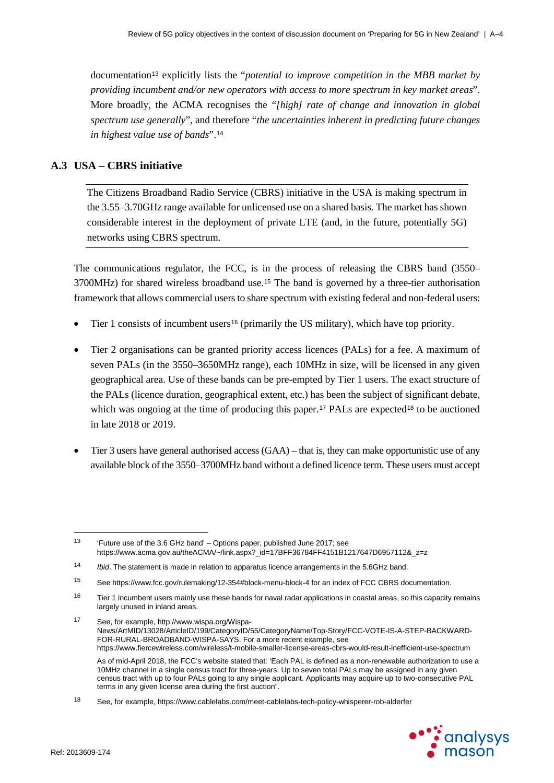documentation<sup>[13](#page-21-0)</sup> explicitly lists the "*potential to improve competition in the MBB market by providing incumbent and/or new operators with access to more spectrum in key market areas*". More broadly, the ACMA recognises the "*[high] rate of change and innovation in global spectrum use generally*", and therefore "*the uncertainties inherent in predicting future changes in highest value use of bands*".[14](#page-21-1)

## **A.3 USA – CBRS initiative**

The Citizens Broadband Radio Service (CBRS) initiative in the USA is making spectrum in the 3.55–3.70GHz range available for unlicensed use on a shared basis. The market has shown considerable interest in the deployment of private LTE (and, in the future, potentially 5G) networks using CBRS spectrum.

The communications regulator, the FCC, is in the process of releasing the CBRS band (3550– 3700MHz) for shared wireless broadband use.[15](#page-21-2) The band is governed by a three-tier authorisation framework that allows commercial users to share spectrum with existing federal and non-federal users:

- Tier 1 consists of incumbent users<sup>[16](#page-21-3)</sup> (primarily the US military), which have top priority.
- Tier 2 organisations can be granted priority access licences (PALs) for a fee. A maximum of seven PALs (in the 3550–3650MHz range), each 10MHz in size, will be licensed in any given geographical area. Use of these bands can be pre-empted by Tier 1 users. The exact structure of the PALs (licence duration, geographical extent, etc.) has been the subject of significant debate, which was ongoing at the time of producing this paper.<sup>[17](#page-21-4)</sup> PALs are expected<sup>[18](#page-21-5)</sup> to be auctioned in late 2018 or 2019.
- Tier 3 users have general authorised access (GAA) that is, they can make opportunistic use of any available block of the 3550–3700MHz band without a defined licence term. These users must accept

<span id="page-21-5"></span><sup>18</sup> See, for example, https://www.cablelabs.com/meet-cablelabs-tech-policy-whisperer-rob-alderfer



 $\ddot{ }$ 

<span id="page-21-0"></span><sup>13</sup> 'Future use of the 3.6 GHz band' – Options paper, published June 2017; see https://www.acma.gov.au/theACMA/~/link.aspx?\_id=17BFF36784FF4151B1217647D6957112&\_z=z

<span id="page-21-1"></span><sup>14</sup> *Ibid*. The statement is made in relation to apparatus licence arrangements in the 5.6GHz band.

<span id="page-21-2"></span><sup>15</sup> See<https://www.fcc.gov/rulemaking/12-354#block-menu-block-4> for an index of FCC CBRS documentation.

<span id="page-21-3"></span> $16$  Tier 1 incumbent users mainly use these bands for naval radar applications in coastal areas, so this capacity remains largely unused in inland areas.

<span id="page-21-4"></span><sup>17</sup> See, for example[, http://www.wispa.org/Wispa-](http://www.wispa.org/Wispa-News/ArtMID/13028/ArticleID/199/CategoryID/55/CategoryName/Top-Story/FCC-VOTE-IS-A-STEP-BACKWARD-FOR-RURAL-BROADBAND-WISPA-SAYS)[News/ArtMID/13028/ArticleID/199/CategoryID/55/CategoryName/Top-Story/FCC-VOTE-IS-A-STEP-BACKWARD-](http://www.wispa.org/Wispa-News/ArtMID/13028/ArticleID/199/CategoryID/55/CategoryName/Top-Story/FCC-VOTE-IS-A-STEP-BACKWARD-FOR-RURAL-BROADBAND-WISPA-SAYS)[FOR-RURAL-BROADBAND-WISPA-SAYS.](http://www.wispa.org/Wispa-News/ArtMID/13028/ArticleID/199/CategoryID/55/CategoryName/Top-Story/FCC-VOTE-IS-A-STEP-BACKWARD-FOR-RURAL-BROADBAND-WISPA-SAYS) For a more recent example, see <https://www.fiercewireless.com/wireless/t-mobile-smaller-license-areas-cbrs-would-result-inefficient-use-spectrum> As of mid-April 2018, the FCC's website stated that: 'Each PAL is defined as a non-renewable authorization to use a 10MHz channel in a single census tract for three-years. Up to seven total PALs may be assigned in any given census tract with up to four PALs going to any single applicant. Applicants may acquire up to two-consecutive PAL terms in any given license area during the first auction".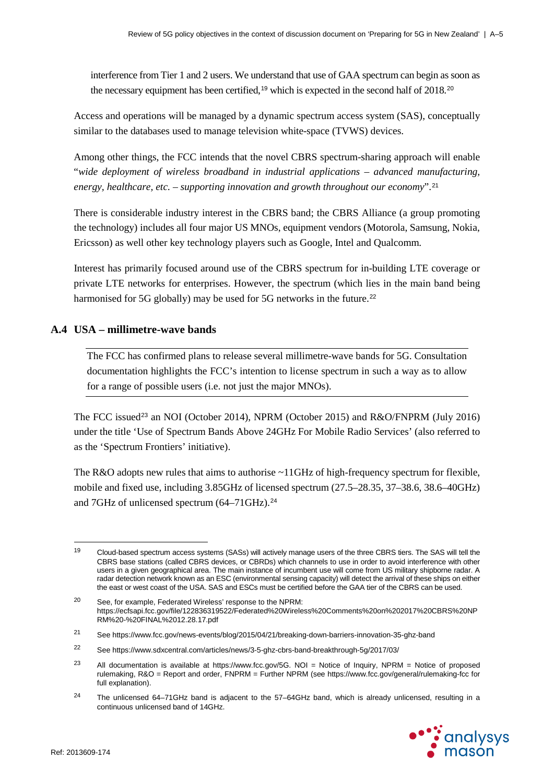interference from Tier 1 and 2 users. We understand that use of GAA spectrum can begin as soon as the necessary equipment has been certified,<sup>[19](#page-22-0)</sup> which is expected in the second half of [20](#page-22-1)18.<sup>20</sup>

Access and operations will be managed by a dynamic spectrum access system (SAS), conceptually similar to the databases used to manage television white-space (TVWS) devices.

Among other things, the FCC intends that the novel CBRS spectrum-sharing approach will enable "*wide deployment of wireless broadband in industrial applications – advanced manufacturing, energy, healthcare, etc. – supporting innovation and growth throughout our economy*".[21](#page-22-2)

There is considerable industry interest in the CBRS band; the CBRS Alliance (a group promoting the technology) includes all four major US MNOs, equipment vendors (Motorola, Samsung, Nokia, Ericsson) as well other key technology players such as Google, Intel and Qualcomm.

Interest has primarily focused around use of the CBRS spectrum for in-building LTE coverage or private LTE networks for enterprises. However, the spectrum (which lies in the main band being harmonised for 5G globally) may be used for 5G networks in the future.<sup>[22](#page-22-3)</sup>

### **A.4 USA – millimetre-wave bands**

The FCC has confirmed plans to release several millimetre-wave bands for 5G. Consultation documentation highlights the FCC's intention to license spectrum in such a way as to allow for a range of possible users (i.e. not just the major MNOs).

The FCC issued<sup>[23](#page-22-4)</sup> an NOI (October 2014), NPRM (October 2015) and R&O/FNPRM (July 2016) under the title 'Use of Spectrum Bands Above 24GHz For Mobile Radio Services' (also referred to as the 'Spectrum Frontiers' initiative).

The R&O adopts new rules that aims to authorise ~11GHz of high-frequency spectrum for flexible, mobile and fixed use, including 3.85GHz of licensed spectrum (27.5–28.35, 37–38.6, 38.6–40GHz) and 7GHz of unlicensed spectrum (64-71GHz).<sup>[24](#page-22-5)</sup>

<span id="page-22-5"></span> $24$  The unlicensed 64–71GHz band is adjacent to the 57–64GHz band, which is already unlicensed, resulting in a continuous unlicensed band of 14GHz.



-

<span id="page-22-0"></span><sup>&</sup>lt;sup>19</sup> Cloud-based spectrum access systems (SASs) will actively manage users of the three CBRS tiers. The SAS will tell the CBRS base stations (called CBRS devices, or CBRDs) which channels to use in order to avoid interference with other users in a given geographical area. The main instance of incumbent use will come from US military shipborne radar. A radar detection network known as an ESC (environmental sensing capacity) will detect the arrival of these ships on either the east or west coast of the USA. SAS and ESCs must be certified before the GAA tier of the CBRS can be used.

<span id="page-22-1"></span><sup>20</sup> See, for example, Federated Wireless' response to the NPRM: https://ecfsapi.fcc.gov/file/122836319522/Federated%20Wireless%20Comments%20on%202017%20CBRS%20NP RM%20-%20FINAL%2012.28.17.pdf

<span id="page-22-2"></span><sup>21</sup> See https://www.fcc.gov/news-events/blog/2015/04/21/breaking-down-barriers-innovation-35-ghz-band

<span id="page-22-3"></span><sup>22</sup> See https://www.sdxcentral.com/articles/news/3-5-ghz-cbrs-band-breakthrough-5g/2017/03/

<span id="page-22-4"></span><sup>&</sup>lt;sup>23</sup> All documentation is available at [https://www.fcc.gov/5G.](https://www.fcc.gov/5G) NOI = Notice of Inquiry, NPRM = Notice of proposed rulemaking, R&O = Report and order, FNPRM = Further NPRM (see<https://www.fcc.gov/general/rulemaking-fcc> for full explanation).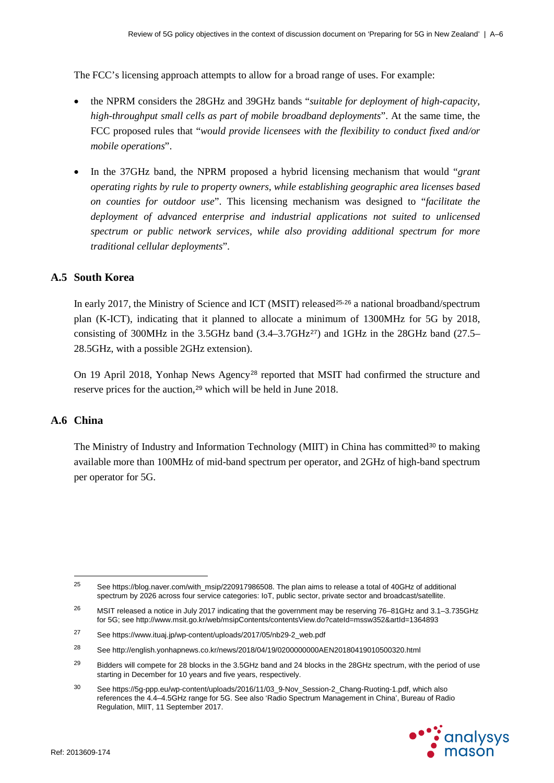The FCC's licensing approach attempts to allow for a broad range of uses. For example:

- the NPRM considers the 28GHz and 39GHz bands "*suitable for deployment of high-capacity, high-throughput small cells as part of mobile broadband deployments*". At the same time, the FCC proposed rules that "*would provide licensees with the flexibility to conduct fixed and/or mobile operations*".
- In the 37GHz band, the NPRM proposed a hybrid licensing mechanism that would "*grant operating rights by rule to property owners, while establishing geographic area licenses based on counties for outdoor use*". This licensing mechanism was designed to "*facilitate the deployment of advanced enterprise and industrial applications not suited to unlicensed spectrum or public network services, while also providing additional spectrum for more traditional cellular deployments*".

### **A.5 South Korea**

In early 2017, the Ministry of Science and ICT (MSIT) released<sup>[25](#page-23-0),[26](#page-23-1)</sup> a national broadband/spectrum plan (K-ICT), indicating that it planned to allocate a minimum of 1300MHz for 5G by 2018, consisting of 300MHz in the 3.5GHz band  $(3.4-3.7GHz^{27})$  $(3.4-3.7GHz^{27})$  $(3.4-3.7GHz^{27})$  and 1GHz in the 28GHz band  $(27.5-$ 28.5GHz, with a possible 2GHz extension).

On 19 April 2018, Yonhap News Agency[28](#page-23-3) reported that MSIT had confirmed the structure and reserve prices for the auction,<sup>[29](#page-23-4)</sup> which will be held in June 2018.

#### **A.6 China**

The Ministry of Industry and Information Technology (MIIT) in China has committed<sup>[30](#page-23-5)</sup> to making available more than 100MHz of mid-band spectrum per operator, and 2GHz of high-band spectrum per operator for 5G.

<span id="page-23-5"></span><sup>&</sup>lt;sup>30</sup> See https://5q-ppp.eu/wp-content/uploads/2016/11/03\_9-Nov\_Session-2\_Chang-Ruoting-1.pdf, which also references the 4.4–4.5GHz range for 5G. See also 'Radio Spectrum Management in China', Bureau of Radio Regulation, MIIT, 11 September 2017.



<span id="page-23-0"></span> $25$ See [https://blog.naver.com/with\\_msip/220917986508.](https://blog.naver.com/with_msip/220917986508) The plan aims to release a total of 40GHz of additional spectrum by 2026 across four service categories: IoT, public sector, private sector and broadcast/satellite.

<span id="page-23-1"></span><sup>&</sup>lt;sup>26</sup> MSIT released a notice in July 2017 indicating that the government may be reserving 76–81GHz and 3.1–3.735GHz for 5G; see http://www.msit.go.kr/web/msipContents/contentsView.do?cateId=mssw352&artId=1364893

<span id="page-23-2"></span><sup>27</sup> See https://www.ituaj.jp/wp-content/uploads/2017/05/nb29-2\_web.pdf

<span id="page-23-3"></span><sup>28</sup> See http://english.yonhapnews.co.kr/news/2018/04/19/0200000000AEN20180419010500320.html

<span id="page-23-4"></span><sup>&</sup>lt;sup>29</sup> Bidders will compete for 28 blocks in the 3.5GHz band and 24 blocks in the 28GHz spectrum, with the period of use starting in December for 10 years and five years, respectively.